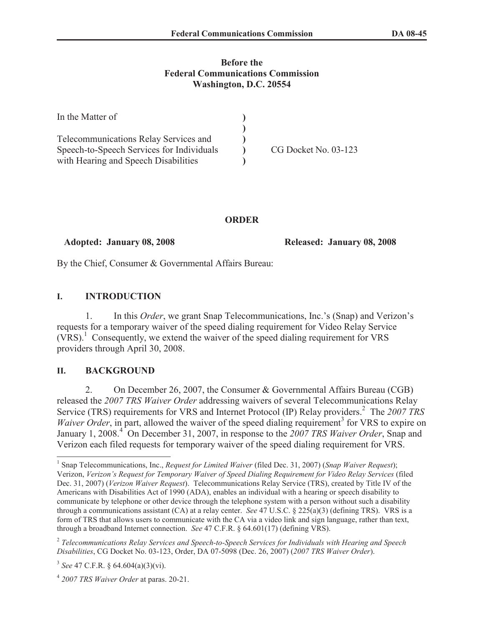### **Before the Federal Communications Commission Washington, D.C. 20554**

| In the Matter of                          |                      |
|-------------------------------------------|----------------------|
|                                           |                      |
| Telecommunications Relay Services and     |                      |
| Speech-to-Speech Services for Individuals | CG Docket No. 03-123 |
| with Hearing and Speech Disabilities      |                      |

# **ORDER**

#### **Adopted: January 08, 2008 Released: January 08, 2008**

By the Chief, Consumer & Governmental Affairs Bureau:

# **I. INTRODUCTION**

1. In this *Order*, we grant Snap Telecommunications, Inc.'s (Snap) and Verizon's requests for a temporary waiver of the speed dialing requirement for Video Relay Service (VRS). <sup>1</sup> Consequently, we extend the waiver of the speed dialing requirement for VRS providers through April 30, 2008.

# **II. BACKGROUND**

2. On December 26, 2007, the Consumer & Governmental Affairs Bureau (CGB) released the *2007 TRS Waiver Order* addressing waivers of several Telecommunications Relay Service (TRS) requirements for VRS and Internet Protocol (IP) Relay providers.<sup>2</sup> The 2007 TRS Waiver Order, in part, allowed the waiver of the speed dialing requirement<sup>3</sup> for VRS to expire on January 1, 2008.<sup>4</sup> On December 31, 2007, in response to the *2007 TRS Waiver Order*, Snap and Verizon each filed requests for temporary waiver of the speed dialing requirement for VRS.

<sup>1</sup> Snap Telecommunications, Inc., *Request for Limited Waiver* (filed Dec. 31, 2007) (*Snap Waiver Request*); Verizon, *Verizon's Request for Temporary Waiver of Speed Dialing Requirement for Video Relay Services* (filed Dec. 31, 2007) (*Verizon Waiver Request*). Telecommunications Relay Service (TRS), created by Title IV of the Americans with Disabilities Act of 1990 (ADA), enables an individual with a hearing or speech disability to communicate by telephone or other device through the telephone system with a person without such a disability through a communications assistant (CA) at a relay center. *See* 47 U.S.C. § 225(a)(3) (defining TRS). VRS is a form of TRS that allows users to communicate with the CA via a video link and sign language, rather than text, through a broadband Internet connection. *See* 47 C.F.R. § 64.601(17) (defining VRS).

<sup>2</sup> *Telecommunications Relay Services and Speech-to-Speech Services for Individuals with Hearing and Speech Disabilities*, CG Docket No. 03-123, Order, DA 07-5098 (Dec. 26, 2007) (*2007 TRS Waiver Order*).

<sup>3</sup> *See* 47 C.F.R. § 64.604(a)(3)(vi).

<sup>4</sup> *2007 TRS Waiver Order* at paras. 20-21.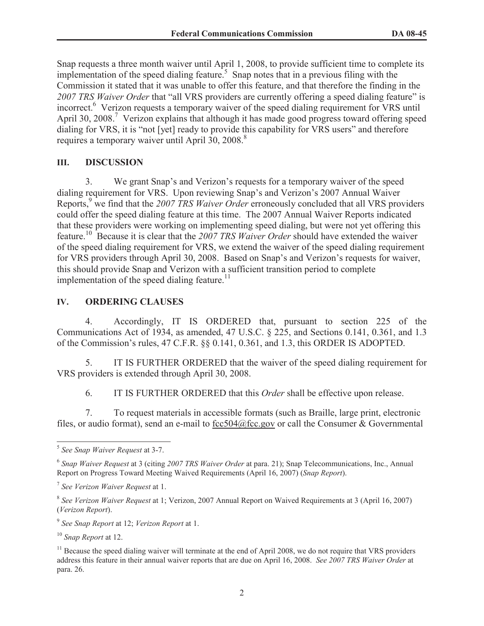Snap requests a three month waiver until April 1, 2008, to provide sufficient time to complete its implementation of the speed dialing feature. 5 Snap notes that in a previous filing with the Commission it stated that it was unable to offer this feature, and that therefore the finding in the *2007 TRS Waiver Order* that "all VRS providers are currently offering a speed dialing feature" is incorrect.<sup>6</sup> Verizon requests a temporary waiver of the speed dialing requirement for VRS until April 30, 2008.<sup>7</sup> Verizon explains that although it has made good progress toward offering speed dialing for VRS, it is "not [yet] ready to provide this capability for VRS users" and therefore requires a temporary waiver until April 30, 2008.<sup>8</sup>

### **III. DISCUSSION**

3. We grant Snap's and Verizon's requests for a temporary waiver of the speed dialing requirement for VRS. Upon reviewing Snap's and Verizon's 2007 Annual Waiver Reports, <sup>9</sup> we find that the *2007 TRS Waiver Order* erroneously concluded that all VRS providers could offer the speed dialing feature at this time. The 2007 Annual Waiver Reports indicated that these providers were working on implementing speed dialing, but were not yet offering this feature.<sup>10</sup> Because it is clear that the *2007 TRS Waiver Order* should have extended the waiver of the speed dialing requirement for VRS, we extend the waiver of the speed dialing requirement for VRS providers through April 30, 2008. Based on Snap's and Verizon's requests for waiver, this should provide Snap and Verizon with a sufficient transition period to complete implementation of the speed dialing feature.<sup>11</sup>

### **IV. ORDERING CLAUSES**

4. Accordingly, IT IS ORDERED that, pursuant to section 225 of the Communications Act of 1934, as amended, 47 U.S.C. § 225, and Sections 0.141, 0.361, and 1.3 of the Commission's rules, 47 C.F.R. §§ 0.141, 0.361, and 1.3, this ORDER IS ADOPTED.

5. IT IS FURTHER ORDERED that the waiver of the speed dialing requirement for VRS providers is extended through April 30, 2008.

6. IT IS FURTHER ORDERED that this *Order* shall be effective upon release.

7. To request materials in accessible formats (such as Braille, large print, electronic files, or audio format), send an e-mail to  $fcc504@$  fcc.gov or call the Consumer & Governmental

<sup>5</sup> *See Snap Waiver Request* at 3-7.

<sup>6</sup> *Snap Waiver Request* at 3 (citing *2007 TRS Waiver Order* at para. 21); Snap Telecommunications, Inc., Annual Report on Progress Toward Meeting Waived Requirements (April 16, 2007) (*Snap Report*).

<sup>7</sup> *See Verizon Waiver Request* at 1.

<sup>8</sup> *See Verizon Waiver Request* at 1; Verizon, 2007 Annual Report on Waived Requirements at 3 (April 16, 2007) (*Verizon Report*).

<sup>9</sup> *See Snap Report* at 12; *Verizon Report* at 1.

<sup>10</sup> *Snap Report* at 12.

 $11$  Because the speed dialing waiver will terminate at the end of April 2008, we do not require that VRS providers address this feature in their annual waiver reports that are due on April 16, 2008. *See 2007 TRS Waiver Order* at para. 26.